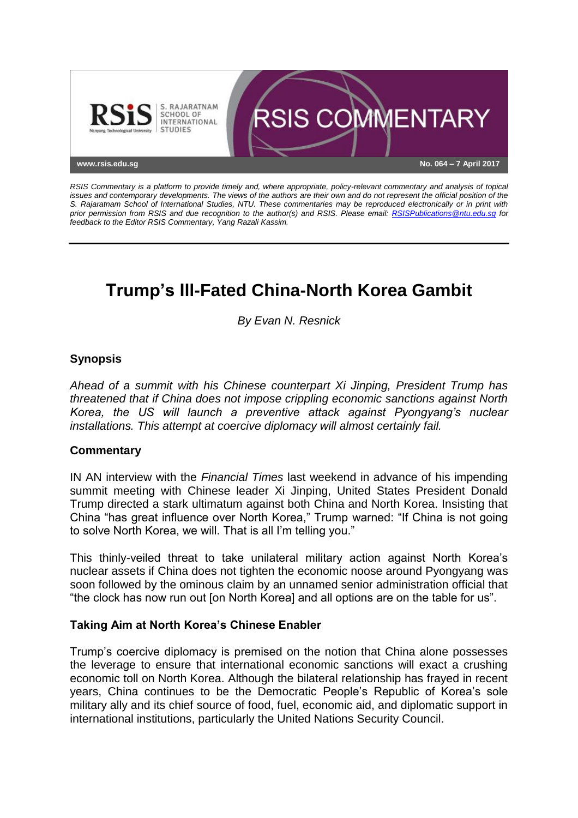

*RSIS Commentary is a platform to provide timely and, where appropriate, policy-relevant commentary and analysis of topical issues and contemporary developments. The views of the authors are their own and do not represent the official position of the S. Rajaratnam School of International Studies, NTU. These commentaries may be reproduced electronically or in print with prior permission from RSIS and due recognition to the author(s) and RSIS. Please email: [RSISPublications@ntu.edu.sg](mailto:RSISPublications@ntu.edu.sg) for feedback to the Editor RSIS Commentary, Yang Razali Kassim.*

# **Trump's Ill-Fated China-North Korea Gambit**

*By Evan N. Resnick*

# **Synopsis**

*Ahead of a summit with his Chinese counterpart Xi Jinping, President Trump has threatened that if China does not impose crippling economic sanctions against North Korea, the US will launch a preventive attack against Pyongyang's nuclear installations. This attempt at coercive diplomacy will almost certainly fail.*

#### **Commentary**

IN AN interview with the *Financial Times* last weekend in advance of his impending summit meeting with Chinese leader Xi Jinping, United States President Donald Trump directed a stark ultimatum against both China and North Korea. Insisting that China "has great influence over North Korea," Trump warned: "If China is not going to solve North Korea, we will. That is all I'm telling you."

This thinly-veiled threat to take unilateral military action against North Korea's nuclear assets if China does not tighten the economic noose around Pyongyang was soon followed by the ominous claim by an unnamed senior administration official that "the clock has now run out [on North Korea] and all options are on the table for us".

#### **Taking Aim at North Korea's Chinese Enabler**

Trump's coercive diplomacy is premised on the notion that China alone possesses the leverage to ensure that international economic sanctions will exact a crushing economic toll on North Korea. Although the bilateral relationship has frayed in recent years, China continues to be the Democratic People's Republic of Korea's sole military ally and its chief source of food, fuel, economic aid, and diplomatic support in international institutions, particularly the United Nations Security Council.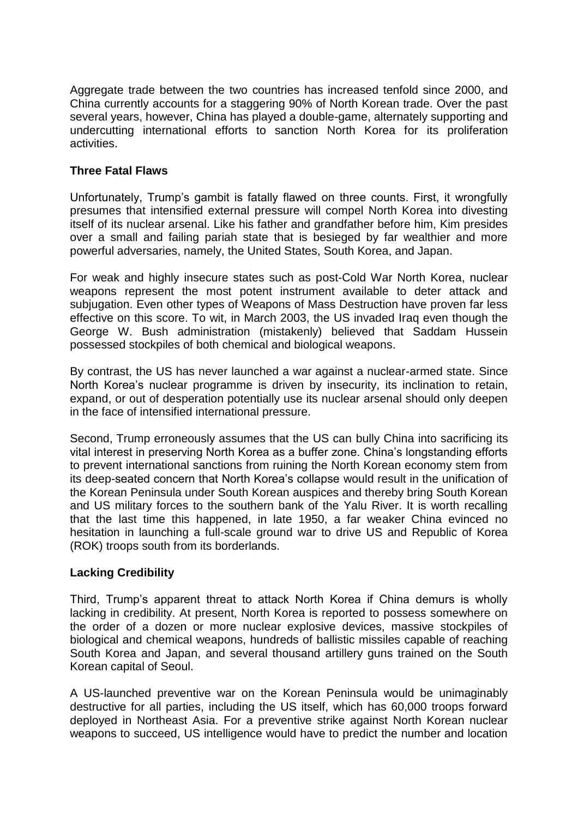Aggregate trade between the two countries has increased tenfold since 2000, and China currently accounts for a staggering 90% of North Korean trade. Over the past several years, however, China has played a double-game, alternately supporting and undercutting international efforts to sanction North Korea for its proliferation activities.

## **Three Fatal Flaws**

Unfortunately, Trump's gambit is fatally flawed on three counts. First, it wrongfully presumes that intensified external pressure will compel North Korea into divesting itself of its nuclear arsenal. Like his father and grandfather before him, Kim presides over a small and failing pariah state that is besieged by far wealthier and more powerful adversaries, namely, the United States, South Korea, and Japan.

For weak and highly insecure states such as post-Cold War North Korea, nuclear weapons represent the most potent instrument available to deter attack and subjugation. Even other types of Weapons of Mass Destruction have proven far less effective on this score. To wit, in March 2003, the US invaded Iraq even though the George W. Bush administration (mistakenly) believed that Saddam Hussein possessed stockpiles of both chemical and biological weapons.

By contrast, the US has never launched a war against a nuclear-armed state. Since North Korea's nuclear programme is driven by insecurity, its inclination to retain, expand, or out of desperation potentially use its nuclear arsenal should only deepen in the face of intensified international pressure.

Second, Trump erroneously assumes that the US can bully China into sacrificing its vital interest in preserving North Korea as a buffer zone. China's longstanding efforts to prevent international sanctions from ruining the North Korean economy stem from its deep-seated concern that North Korea's collapse would result in the unification of the Korean Peninsula under South Korean auspices and thereby bring South Korean and US military forces to the southern bank of the Yalu River. It is worth recalling that the last time this happened, in late 1950, a far weaker China evinced no hesitation in launching a full-scale ground war to drive US and Republic of Korea (ROK) troops south from its borderlands.

# **Lacking Credibility**

Third, Trump's apparent threat to attack North Korea if China demurs is wholly lacking in credibility. At present, North Korea is reported to possess somewhere on the order of a dozen or more nuclear explosive devices, massive stockpiles of biological and chemical weapons, hundreds of ballistic missiles capable of reaching South Korea and Japan, and several thousand artillery guns trained on the South Korean capital of Seoul.

A US-launched preventive war on the Korean Peninsula would be unimaginably destructive for all parties, including the US itself, which has 60,000 troops forward deployed in Northeast Asia. For a preventive strike against North Korean nuclear weapons to succeed, US intelligence would have to predict the number and location